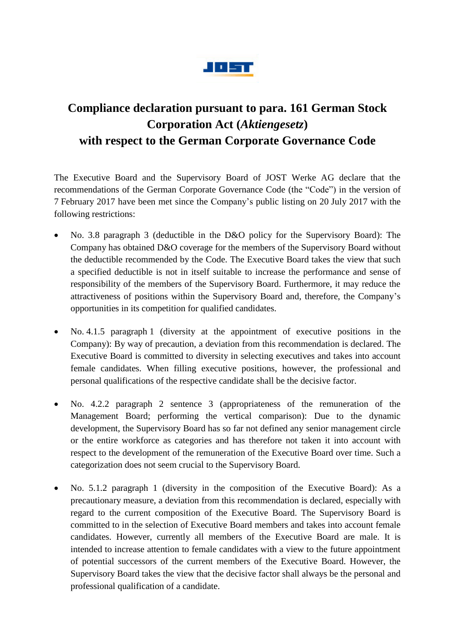

## **Compliance declaration pursuant to para. 161 German Stock Corporation Act (***Aktiengesetz***) with respect to the German Corporate Governance Code**

The Executive Board and the Supervisory Board of JOST Werke AG declare that the recommendations of the German Corporate Governance Code (the "Code") in the version of 7 February 2017 have been met since the Company's public listing on 20 July 2017 with the following restrictions:

- No. 3.8 paragraph 3 (deductible in the D&O policy for the Supervisory Board): The Company has obtained D&O coverage for the members of the Supervisory Board without the deductible recommended by the Code. The Executive Board takes the view that such a specified deductible is not in itself suitable to increase the performance and sense of responsibility of the members of the Supervisory Board. Furthermore, it may reduce the attractiveness of positions within the Supervisory Board and, therefore, the Company's opportunities in its competition for qualified candidates.
- No. 4.1.5 paragraph 1 (diversity at the appointment of executive positions in the Company): By way of precaution, a deviation from this recommendation is declared. The Executive Board is committed to diversity in selecting executives and takes into account female candidates. When filling executive positions, however, the professional and personal qualifications of the respective candidate shall be the decisive factor.
- No. 4.2.2 paragraph 2 sentence 3 (appropriateness of the remuneration of the Management Board; performing the vertical comparison): Due to the dynamic development, the Supervisory Board has so far not defined any senior management circle or the entire workforce as categories and has therefore not taken it into account with respect to the development of the remuneration of the Executive Board over time. Such a categorization does not seem crucial to the Supervisory Board.
- No. 5.1.2 paragraph 1 (diversity in the composition of the Executive Board): As a precautionary measure, a deviation from this recommendation is declared, especially with regard to the current composition of the Executive Board. The Supervisory Board is committed to in the selection of Executive Board members and takes into account female candidates. However, currently all members of the Executive Board are male. It is intended to increase attention to female candidates with a view to the future appointment of potential successors of the current members of the Executive Board. However, the Supervisory Board takes the view that the decisive factor shall always be the personal and professional qualification of a candidate.